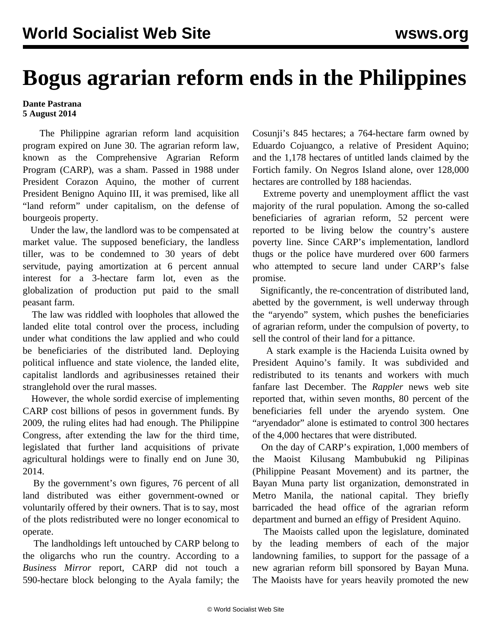## **Bogus agrarian reform ends in the Philippines**

## **Dante Pastrana 5 August 2014**

 The Philippine agrarian reform land acquisition program expired on June 30. The agrarian reform law, known as the Comprehensive Agrarian Reform Program (CARP), was a sham. Passed in 1988 under President Corazon Aquino, the mother of current President Benigno Aquino III, it was premised, like all "land reform" under capitalism, on the defense of bourgeois property.

 Under the law, the landlord was to be compensated at market value. The supposed beneficiary, the landless tiller, was to be condemned to 30 years of debt servitude, paying amortization at 6 percent annual interest for a 3-hectare farm lot, even as the globalization of production put paid to the small peasant farm.

 The law was riddled with loopholes that allowed the landed elite total control over the process, including under what conditions the law applied and who could be beneficiaries of the distributed land. Deploying political influence and state violence, the landed elite, capitalist landlords and agribusinesses retained their stranglehold over the rural masses.

 However, the whole sordid exercise of implementing CARP cost billions of pesos in government funds. By 2009, the ruling elites had had enough. The Philippine Congress, after extending the law for the third time, legislated that further land acquisitions of private agricultural holdings were to finally end on June 30, 2014.

 By the government's own figures, 76 percent of all land distributed was either government-owned or voluntarily offered by their owners. That is to say, most of the plots redistributed were no longer economical to operate.

 The landholdings left untouched by CARP belong to the oligarchs who run the country. According to a *Business Mirror* report, CARP did not touch a 590-hectare block belonging to the Ayala family; the Cosunji's 845 hectares; a 764-hectare farm owned by Eduardo Cojuangco, a relative of President Aquino; and the 1,178 hectares of untitled lands claimed by the Fortich family. On Negros Island alone, over 128,000 hectares are controlled by 188 haciendas.

 Extreme poverty and unemployment afflict the vast majority of the rural population. Among the so-called beneficiaries of agrarian reform, 52 percent were reported to be living below the country's austere poverty line. Since CARP's implementation, landlord thugs or the police have murdered over 600 farmers who attempted to secure land under CARP's false promise.

 Significantly, the re-concentration of distributed land, abetted by the government, is well underway through the "aryendo" system, which pushes the beneficiaries of agrarian reform, under the compulsion of poverty, to sell the control of their land for a pittance.

 A stark example is the Hacienda Luisita owned by President Aquino's family. It was subdivided and redistributed to its tenants and workers with much fanfare last December. The *Rappler* news web site reported that, within seven months, 80 percent of the beneficiaries fell under the aryendo system. One "aryendador" alone is estimated to control 300 hectares of the 4,000 hectares that were distributed.

 On the day of CARP's expiration, 1,000 members of the Maoist Kilusang Mambubukid ng Pilipinas (Philippine Peasant Movement) and its partner, the Bayan Muna party list organization, demonstrated in Metro Manila, the national capital. They briefly barricaded the head office of the agrarian reform department and burned an effigy of President Aquino.

 The Maoists called upon the legislature, dominated by the leading members of each of the major landowning families, to support for the passage of a new agrarian reform bill sponsored by Bayan Muna. The Maoists have for years heavily promoted the new